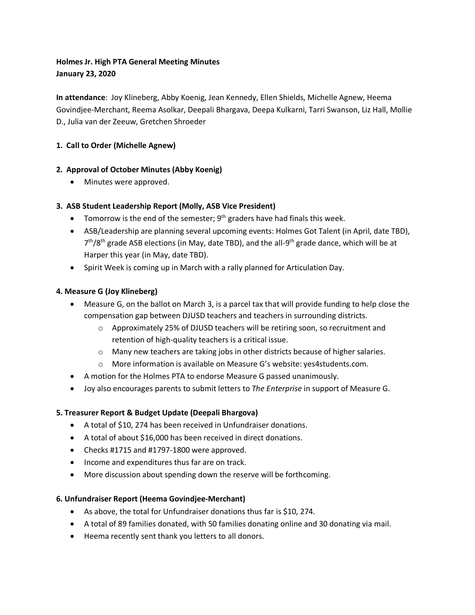# **Holmes Jr. High PTA General Meeting Minutes January 23, 2020**

**In attendance**: Joy Klineberg, Abby Koenig, Jean Kennedy, Ellen Shields, Michelle Agnew, Heema Govindjee-Merchant, Reema Asolkar, Deepali Bhargava, Deepa Kulkarni, Tarri Swanson, Liz Hall, Mollie D., Julia van der Zeeuw, Gretchen Shroeder

# **1. Call to Order (Michelle Agnew)**

# **2. Approval of October Minutes (Abby Koenig)**

• Minutes were approved.

# **3. ASB Student Leadership Report (Molly, ASB Vice President)**

- Tomorrow is the end of the semester;  $9<sup>th</sup>$  graders have had finals this week.
- ASB/Leadership are planning several upcoming events: Holmes Got Talent (in April, date TBD), 7<sup>th</sup>/8<sup>th</sup> grade ASB elections (in May, date TBD), and the all-9<sup>th</sup> grade dance, which will be at Harper this year (in May, date TBD).
- Spirit Week is coming up in March with a rally planned for Articulation Day.

# **4. Measure G (Joy Klineberg)**

- Measure G, on the ballot on March 3, is a parcel tax that will provide funding to help close the compensation gap between DJUSD teachers and teachers in surrounding districts.
	- o Approximately 25% of DJUSD teachers will be retiring soon, so recruitment and retention of high-quality teachers is a critical issue.
	- o Many new teachers are taking jobs in other districts because of higher salaries.
	- o More information is available on Measure G's website: yes4students.com.
- A motion for the Holmes PTA to endorse Measure G passed unanimously.
- Joy also encourages parents to submit letters to *The Enterprise* in support of Measure G.

# **5. Treasurer Report & Budget Update (Deepali Bhargova)**

- A total of \$10, 274 has been received in Unfundraiser donations.
- A total of about \$16,000 has been received in direct donations.
- Checks #1715 and #1797-1800 were approved.
- Income and expenditures thus far are on track.
- More discussion about spending down the reserve will be forthcoming.

#### **6. Unfundraiser Report (Heema Govindjee-Merchant)**

- As above, the total for Unfundraiser donations thus far is \$10, 274.
- A total of 89 families donated, with 50 families donating online and 30 donating via mail.
- Heema recently sent thank you letters to all donors.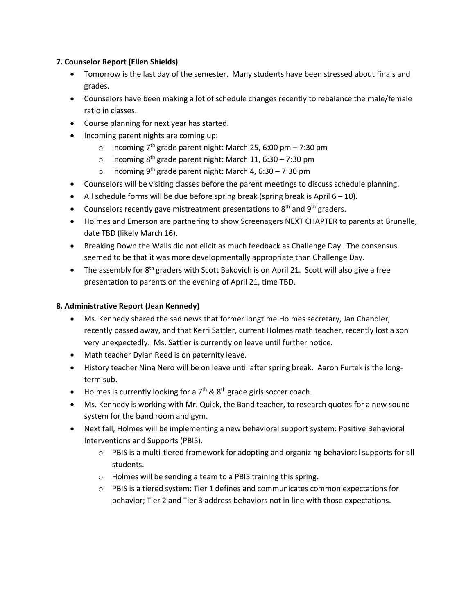# **7. Counselor Report (Ellen Shields)**

- Tomorrow is the last day of the semester. Many students have been stressed about finals and grades.
- Counselors have been making a lot of schedule changes recently to rebalance the male/female ratio in classes.
- Course planning for next year has started.
- Incoming parent nights are coming up:
	- $\circ$  Incoming 7<sup>th</sup> grade parent night: March 25, 6:00 pm 7:30 pm
	- o Incoming  $8<sup>th</sup>$  grade parent night: March 11, 6:30 7:30 pm
	- o Incoming 9<sup>th</sup> grade parent night: March 4, 6:30 7:30 pm
- Counselors will be visiting classes before the parent meetings to discuss schedule planning.
- All schedule forms will be due before spring break (spring break is April  $6 10$ ).
- Counselors recently gave mistreatment presentations to  $8<sup>th</sup>$  and  $9<sup>th</sup>$  graders.
- Holmes and Emerson are partnering to show Screenagers NEXT CHAPTER to parents at Brunelle, date TBD (likely March 16).
- Breaking Down the Walls did not elicit as much feedback as Challenge Day. The consensus seemed to be that it was more developmentally appropriate than Challenge Day.
- The assembly for  $8<sup>th</sup>$  graders with Scott Bakovich is on April 21. Scott will also give a free presentation to parents on the evening of April 21, time TBD.

### **8. Administrative Report (Jean Kennedy)**

- Ms. Kennedy shared the sad news that former longtime Holmes secretary, Jan Chandler, recently passed away, and that Kerri Sattler, current Holmes math teacher, recently lost a son very unexpectedly. Ms. Sattler is currently on leave until further notice.
- Math teacher Dylan Reed is on paternity leave.
- History teacher Nina Nero will be on leave until after spring break. Aaron Furtek is the longterm sub.
- Holmes is currently looking for a  $7<sup>th</sup>$  &  $8<sup>th</sup>$  grade girls soccer coach.
- Ms. Kennedy is working with Mr. Quick, the Band teacher, to research quotes for a new sound system for the band room and gym.
- Next fall, Holmes will be implementing a new behavioral support system: Positive Behavioral Interventions and Supports (PBIS).
	- o PBIS is a multi-tiered framework for adopting and organizing behavioral supports for all students.
	- o Holmes will be sending a team to a PBIS training this spring.
	- $\circ$  PBIS is a tiered system: Tier 1 defines and communicates common expectations for behavior; Tier 2 and Tier 3 address behaviors not in line with those expectations.